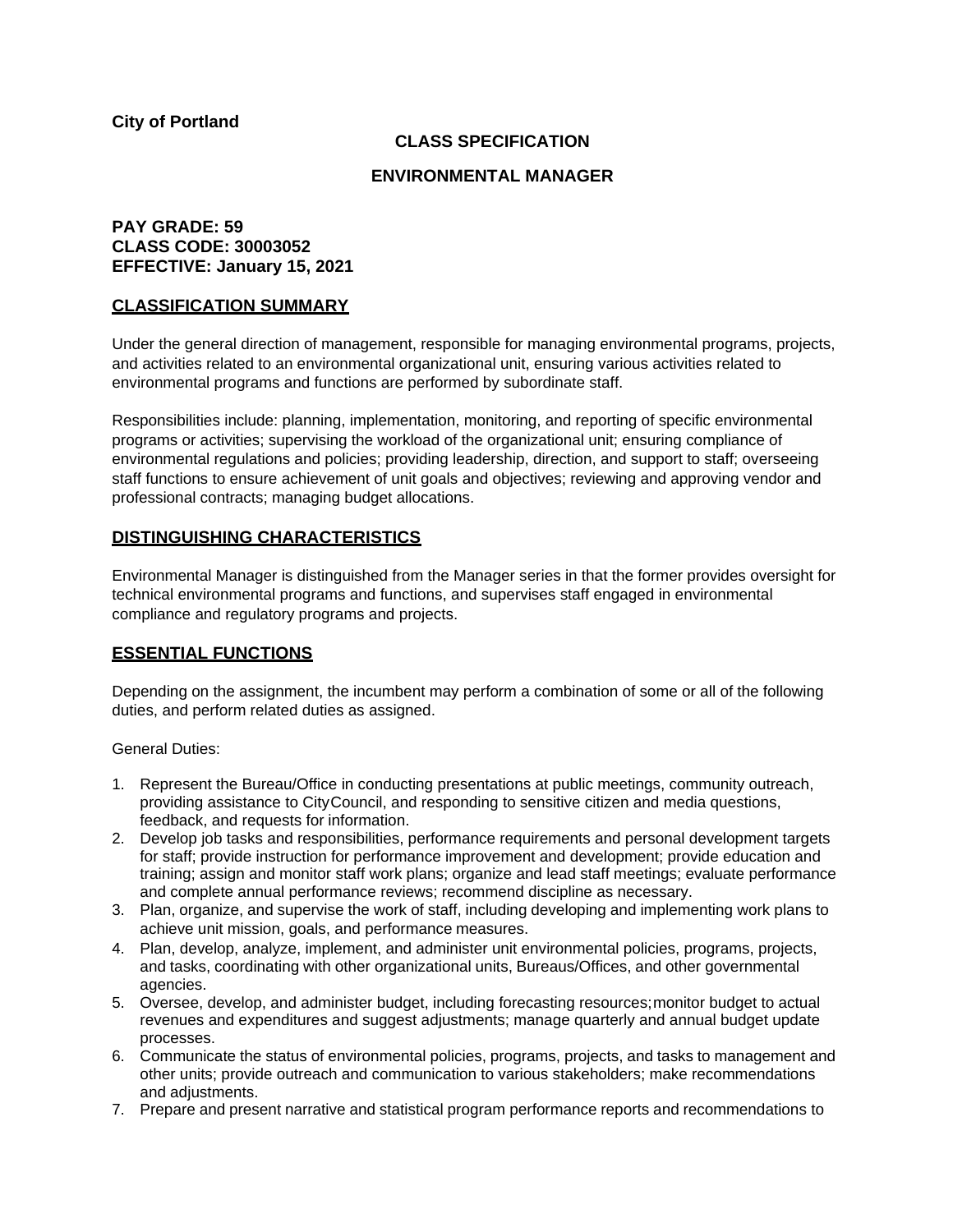## **CLASS SPECIFICATION**

#### **ENVIRONMENTAL MANAGER**

## **PAY GRADE: 59 CLASS CODE: 30003052 EFFECTIVE: January 15, 2021**

#### **CLASSIFICATION SUMMARY**

Under the general direction of management, responsible for managing environmental programs, projects, and activities related to an environmental organizational unit, ensuring various activities related to environmental programs and functions are performed by subordinate staff.

Responsibilities include: planning, implementation, monitoring, and reporting of specific environmental programs or activities; supervising the workload of the organizational unit; ensuring compliance of environmental regulations and policies; providing leadership, direction, and support to staff; overseeing staff functions to ensure achievement of unit goals and objectives; reviewing and approving vendor and professional contracts; managing budget allocations.

### **DISTINGUISHING CHARACTERISTICS**

Environmental Manager is distinguished from the Manager series in that the former provides oversight for technical environmental programs and functions, and supervises staff engaged in environmental compliance and regulatory programs and projects.

### **ESSENTIAL FUNCTIONS**

Depending on the assignment, the incumbent may perform a combination of some or all of the following duties, and perform related duties as assigned.

General Duties:

- 1. Represent the Bureau/Office in conducting presentations at public meetings, community outreach, providing assistance to CityCouncil, and responding to sensitive citizen and media questions, feedback, and requests for information.
- 2. Develop job tasks and responsibilities, performance requirements and personal development targets for staff; provide instruction for performance improvement and development; provide education and training; assign and monitor staff work plans; organize and lead staff meetings; evaluate performance and complete annual performance reviews; recommend discipline as necessary.
- 3. Plan, organize, and supervise the work of staff, including developing and implementing work plans to achieve unit mission, goals, and performance measures.
- 4. Plan, develop, analyze, implement, and administer unit environmental policies, programs, projects, and tasks, coordinating with other organizational units, Bureaus/Offices, and other governmental agencies.
- 5. Oversee, develop, and administer budget, including forecasting resources;monitor budget to actual revenues and expenditures and suggest adjustments; manage quarterly and annual budget update processes.
- 6. Communicate the status of environmental policies, programs, projects, and tasks to management and other units; provide outreach and communication to various stakeholders; make recommendations and adjustments.
- 7. Prepare and present narrative and statistical program performance reports and recommendations to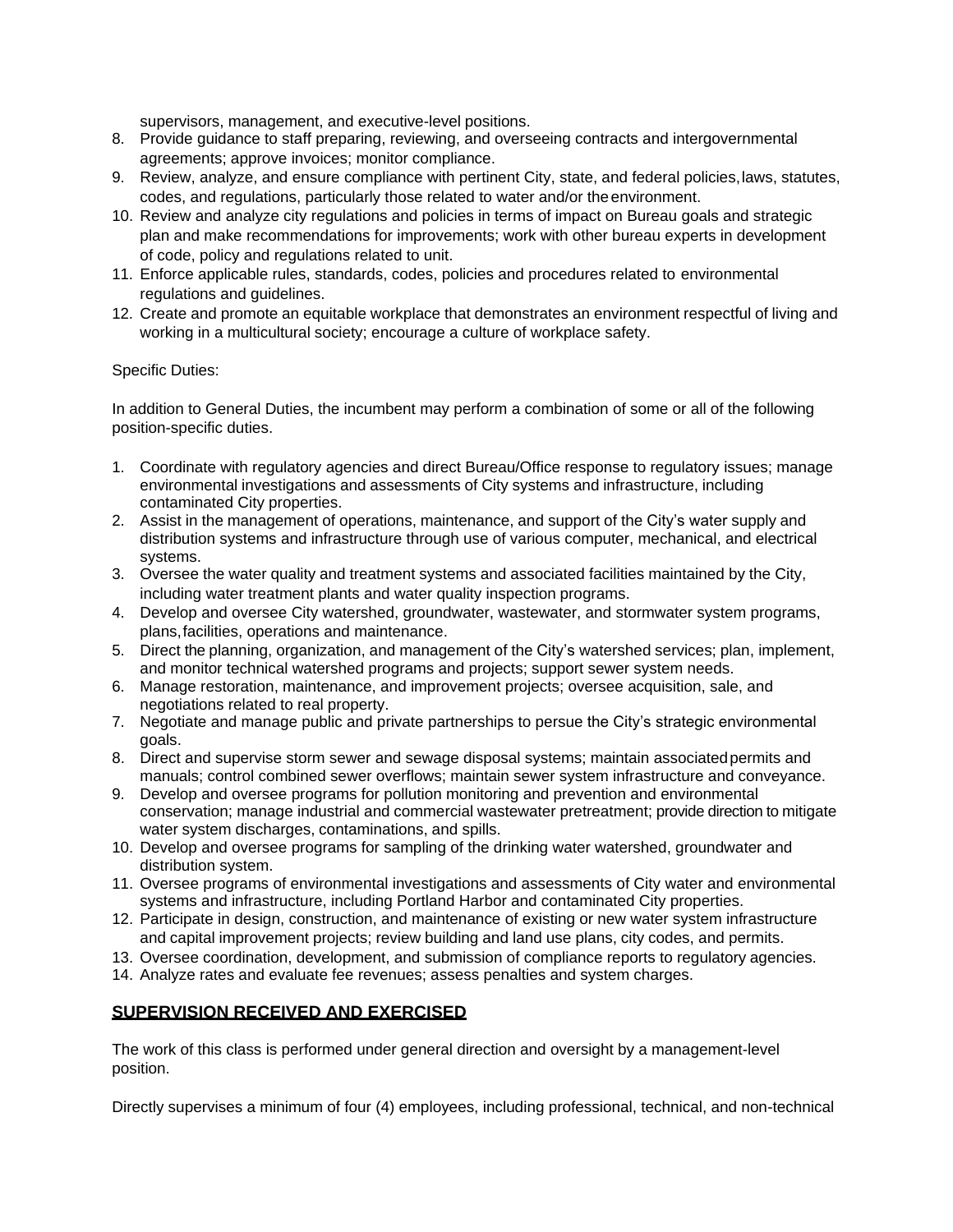supervisors, management, and executive-level positions.

- 8. Provide guidance to staff preparing, reviewing, and overseeing contracts and intergovernmental agreements; approve invoices; monitor compliance.
- 9. Review, analyze, and ensure compliance with pertinent City, state, and federal policies,laws, statutes, codes, and regulations, particularly those related to water and/or theenvironment.
- 10. Review and analyze city regulations and policies in terms of impact on Bureau goals and strategic plan and make recommendations for improvements; work with other bureau experts in development of code, policy and regulations related to unit.
- 11. Enforce applicable rules, standards, codes, policies and procedures related to environmental regulations and guidelines.
- 12. Create and promote an equitable workplace that demonstrates an environment respectful of living and working in a multicultural society; encourage a culture of workplace safety.

#### Specific Duties:

In addition to General Duties, the incumbent may perform a combination of some or all of the following position-specific duties.

- 1. Coordinate with regulatory agencies and direct Bureau/Office response to regulatory issues; manage environmental investigations and assessments of City systems and infrastructure, including contaminated City properties.
- 2. Assist in the management of operations, maintenance, and support of the City's water supply and distribution systems and infrastructure through use of various computer, mechanical, and electrical systems.
- 3. Oversee the water quality and treatment systems and associated facilities maintained by the City, including water treatment plants and water quality inspection programs.
- 4. Develop and oversee City watershed, groundwater, wastewater, and stormwater system programs, plans,facilities, operations and maintenance.
- 5. Direct the planning, organization, and management of the City's watershed services; plan, implement, and monitor technical watershed programs and projects; support sewer system needs.
- 6. Manage restoration, maintenance, and improvement projects; oversee acquisition, sale, and negotiations related to real property.
- 7. Negotiate and manage public and private partnerships to persue the City's strategic environmental goals.
- 8. Direct and supervise storm sewer and sewage disposal systems; maintain associatedpermits and manuals; control combined sewer overflows; maintain sewer system infrastructure and conveyance.
- 9. Develop and oversee programs for pollution monitoring and prevention and environmental conservation; manage industrial and commercial wastewater pretreatment; provide direction to mitigate water system discharges, contaminations, and spills.
- 10. Develop and oversee programs for sampling of the drinking water watershed, groundwater and distribution system.
- 11. Oversee programs of environmental investigations and assessments of City water and environmental systems and infrastructure, including Portland Harbor and contaminated City properties.
- 12. Participate in design, construction, and maintenance of existing or new water system infrastructure and capital improvement projects; review building and land use plans, city codes, and permits.
- 13. Oversee coordination, development, and submission of compliance reports to regulatory agencies.
- 14. Analyze rates and evaluate fee revenues; assess penalties and system charges.

# **SUPERVISION RECEIVED AND EXERCISED**

The work of this class is performed under general direction and oversight by a management-level position.

Directly supervises a minimum of four (4) employees, including professional, technical, and non-technical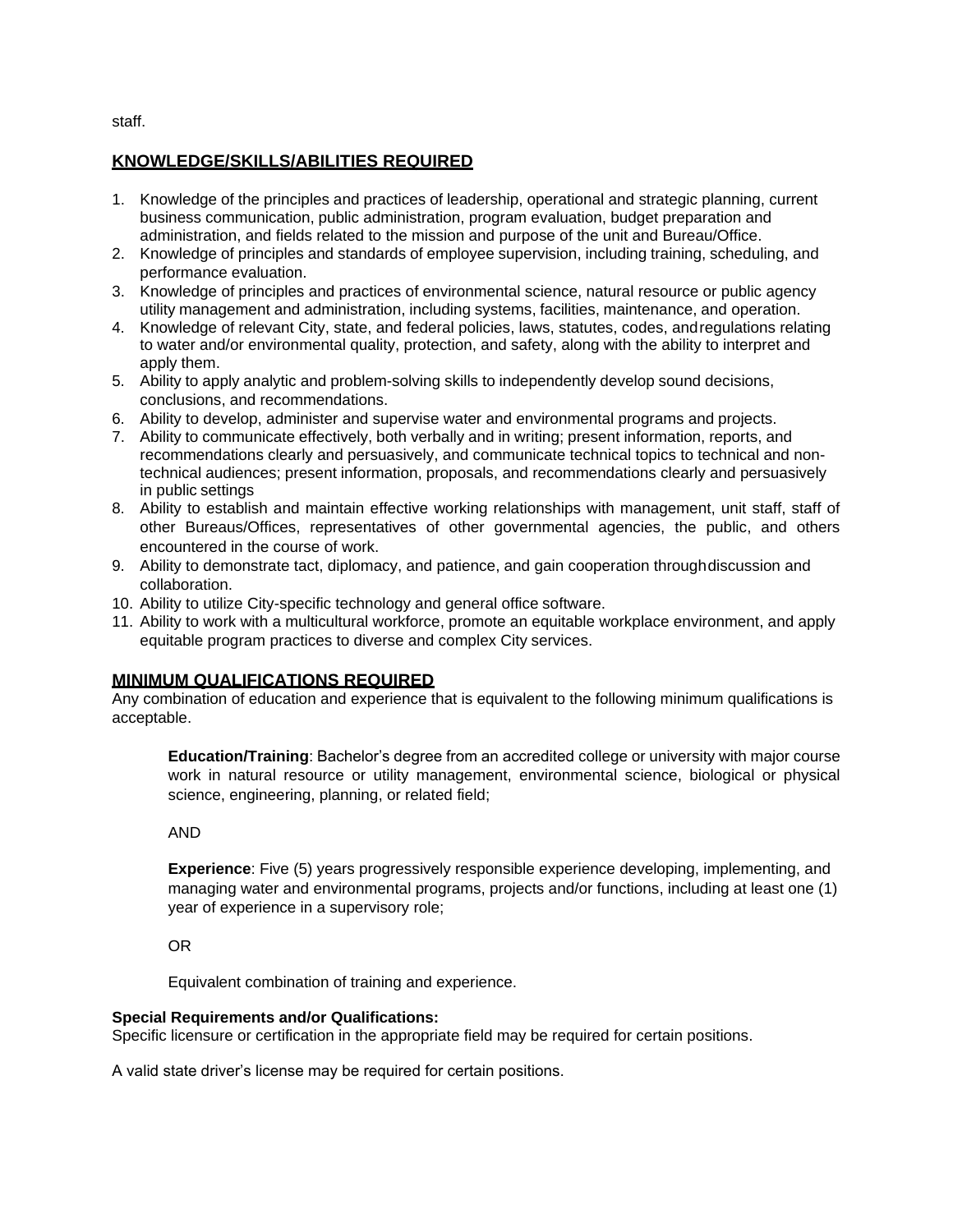staff.

# **KNOWLEDGE/SKILLS/ABILITIES REQUIRED**

- 1. Knowledge of the principles and practices of leadership, operational and strategic planning, current business communication, public administration, program evaluation, budget preparation and administration, and fields related to the mission and purpose of the unit and Bureau/Office.
- 2. Knowledge of principles and standards of employee supervision, including training, scheduling, and performance evaluation.
- 3. Knowledge of principles and practices of environmental science, natural resource or public agency utility management and administration, including systems, facilities, maintenance, and operation.
- 4. Knowledge of relevant City, state, and federal policies, laws, statutes, codes, andregulations relating to water and/or environmental quality, protection, and safety, along with the ability to interpret and apply them.
- 5. Ability to apply analytic and problem-solving skills to independently develop sound decisions, conclusions, and recommendations.
- 6. Ability to develop, administer and supervise water and environmental programs and projects.
- 7. Ability to communicate effectively, both verbally and in writing; present information, reports, and recommendations clearly and persuasively, and communicate technical topics to technical and nontechnical audiences; present information, proposals, and recommendations clearly and persuasively in public settings
- 8. Ability to establish and maintain effective working relationships with management, unit staff, staff of other Bureaus/Offices, representatives of other governmental agencies, the public, and others encountered in the course of work.
- 9. Ability to demonstrate tact, diplomacy, and patience, and gain cooperation throughdiscussion and collaboration.
- 10. Ability to utilize City-specific technology and general office software.
- 11. Ability to work with a multicultural workforce, promote an equitable workplace environment, and apply equitable program practices to diverse and complex City services.

# **MINIMUM QUALIFICATIONS REQUIRED**

Any combination of education and experience that is equivalent to the following minimum qualifications is acceptable.

**Education/Training**: Bachelor's degree from an accredited college or university with major course work in natural resource or utility management, environmental science, biological or physical science, engineering, planning, or related field;

### AND

**Experience**: Five (5) years progressively responsible experience developing, implementing, and managing water and environmental programs, projects and/or functions, including at least one (1) year of experience in a supervisory role;

OR

Equivalent combination of training and experience.

### **Special Requirements and/or Qualifications:**

Specific licensure or certification in the appropriate field may be required for certain positions.

A valid state driver's license may be required for certain positions.